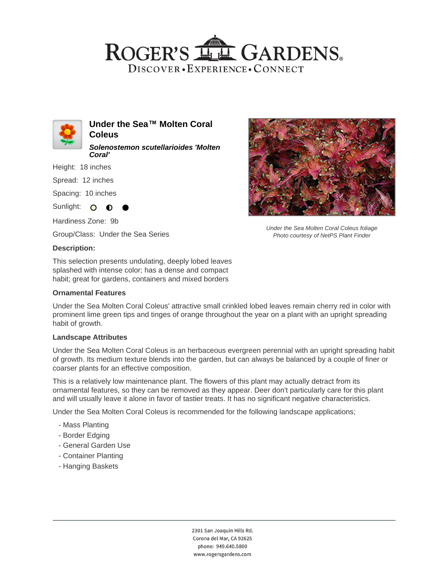# ROGER'S LL GARDENS. DISCOVER · EXPERIENCE · CONNECT



**Under the Sea™ Molten Coral Coleus Solenostemon scutellarioides 'Molten Coral'**

Height: 18 inches

Spread: 12 inches

Spacing: 10 inches

Sunlight:  $\circ$ ∩

Hardiness Zone: 9b

Group/Class: Under the Sea Series

### **Description:**

This selection presents undulating, deeply lobed leaves splashed with intense color; has a dense and compact habit; great for gardens, containers and mixed borders

### **Ornamental Features**



Under the Sea Molten Coral Coleus foliage Photo courtesy of NetPS Plant Finder

Under the Sea Molten Coral Coleus' attractive small crinkled lobed leaves remain cherry red in color with prominent lime green tips and tinges of orange throughout the year on a plant with an upright spreading habit of growth.

#### **Landscape Attributes**

Under the Sea Molten Coral Coleus is an herbaceous evergreen perennial with an upright spreading habit of growth. Its medium texture blends into the garden, but can always be balanced by a couple of finer or coarser plants for an effective composition.

This is a relatively low maintenance plant. The flowers of this plant may actually detract from its ornamental features, so they can be removed as they appear. Deer don't particularly care for this plant and will usually leave it alone in favor of tastier treats. It has no significant negative characteristics.

Under the Sea Molten Coral Coleus is recommended for the following landscape applications;

- Mass Planting
- Border Edging
- General Garden Use
- Container Planting
- Hanging Baskets

2301 San Joaquin Hills Rd. Corona del Mar, CA 92625 phone: 949.640.5800 www.rogersgardens.com